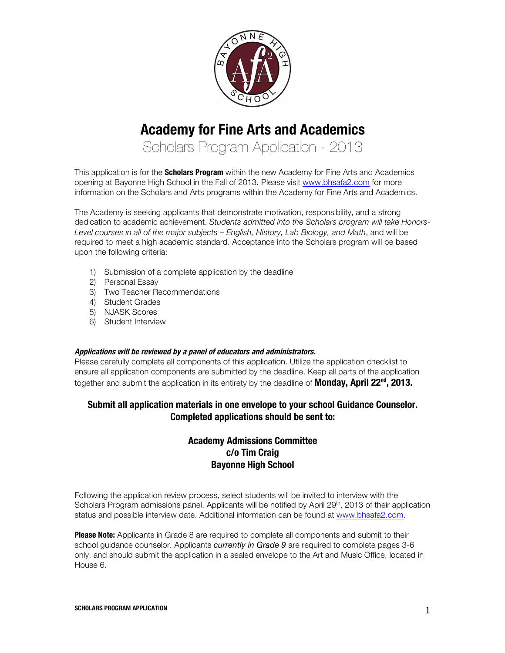

# **Academy for Fine Arts and Academics**

Scholars Program Application - 2013

This application is for the **Scholars Program** within the new Academy for Fine Arts and Academics opening at Bayonne High School in the Fall of 2013. Please visit www.bhsafa2.com for more information on the Scholars and Arts programs within the Academy for Fine Arts and Academics.

The Academy is seeking applicants that demonstrate motivation, responsibility, and a strong dedication to academic achievement. *Students admitted into the Scholars program will take Honors-Level courses in all of the major subjects – English, History, Lab Biology, and Math*, and will be required to meet a high academic standard. Acceptance into the Scholars program will be based upon the following criteria:

- 1) Submission of a complete application by the deadline
- 2) Personal Essay
- 3) Two Teacher Recommendations
- 4) Student Grades
- 5) NJASK Scores
- 6) Student Interview

#### **Applications will be reviewed by a panel of educators and administrators.**

Please carefully complete all components of this application. Utilize the application checklist to ensure all application components are submitted by the deadline. Keep all parts of the application together and submit the application in its entirety by the deadline of **Monday, April 22nd, 2013.**

#### **Submit all application materials in one envelope to your school Guidance Counselor. Completed applications should be sent to:**

### **Academy Admissions Committee c/o Tim Craig Bayonne High School**

Following the application review process, select students will be invited to interview with the Scholars Program admissions panel. Applicants will be notified by April 29<sup>th</sup>, 2013 of their application status and possible interview date. Additional information can be found at www.bhsafa2.com.

**Please Note:** Applicants in Grade 8 are required to complete all components and submit to their school guidance counselor. Applicants *currently in Grade 9* are required to complete pages 3-6 only, and should submit the application in a sealed envelope to the Art and Music Office, located in House 6.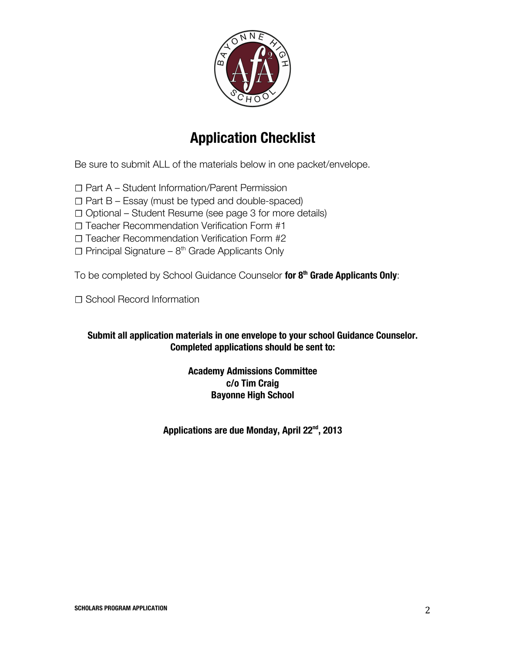

# **Application Checklist**

Be sure to submit ALL of the materials below in one packet/envelope.

☐ Part A – Student Information/Parent Permission

 $\Box$  Part B – Essay (must be typed and double-spaced)

☐ Optional – Student Resume (see page 3 for more details)

☐ Teacher Recommendation Verification Form #1

☐ Teacher Recommendation Verification Form #2

 $\Box$  Principal Signature – 8<sup>th</sup> Grade Applicants Only

To be completed by School Guidance Counselor **for 8th Grade Applicants Only**:

□ School Record Information

### **Submit all application materials in one envelope to your school Guidance Counselor. Completed applications should be sent to:**

### **Academy Admissions Committee c/o Tim Craig Bayonne High School**

**Applications are due Monday, April 22nd, 2013**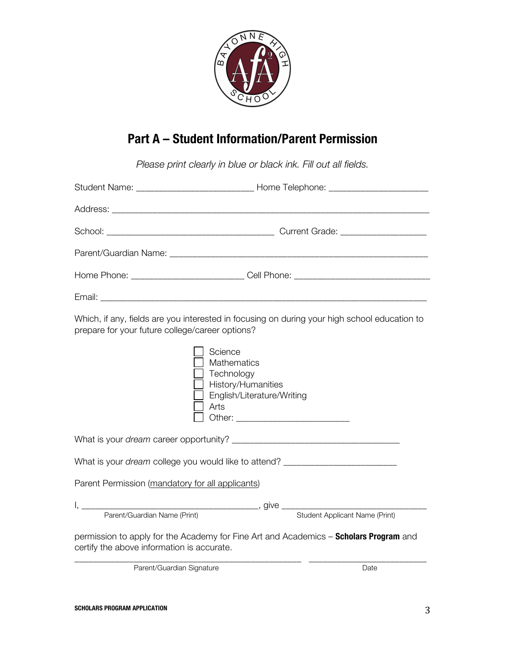

## **Part A – Student Information/Parent Permission**

*Please print clearly in blue or black ink. Fill out all fields.* 

|                                                                                                                                                 | Student Name: __________________________________Home Telephone: _________________                |  |  |  |  |
|-------------------------------------------------------------------------------------------------------------------------------------------------|--------------------------------------------------------------------------------------------------|--|--|--|--|
|                                                                                                                                                 |                                                                                                  |  |  |  |  |
|                                                                                                                                                 |                                                                                                  |  |  |  |  |
|                                                                                                                                                 |                                                                                                  |  |  |  |  |
|                                                                                                                                                 |                                                                                                  |  |  |  |  |
|                                                                                                                                                 |                                                                                                  |  |  |  |  |
| Which, if any, fields are you interested in focusing on during your high school education to<br>prepare for your future college/career options? |                                                                                                  |  |  |  |  |
|                                                                                                                                                 | Science<br>Mathematics<br>Technology<br>History/Humanities<br>English/Literature/Writing<br>Arts |  |  |  |  |
|                                                                                                                                                 |                                                                                                  |  |  |  |  |
| What is your dream college you would like to attend? ___________________________                                                                |                                                                                                  |  |  |  |  |
| Parent Permission (mandatory for all applicants)                                                                                                |                                                                                                  |  |  |  |  |
|                                                                                                                                                 |                                                                                                  |  |  |  |  |
| Parent/Guardian Name (Print)                                                                                                                    | Student Applicant Name (Print)                                                                   |  |  |  |  |
| certify the above information is accurate.                                                                                                      | permission to apply for the Academy for Fine Art and Academics - Scholars Program and            |  |  |  |  |
| Parent/Guardian Signature                                                                                                                       | Date                                                                                             |  |  |  |  |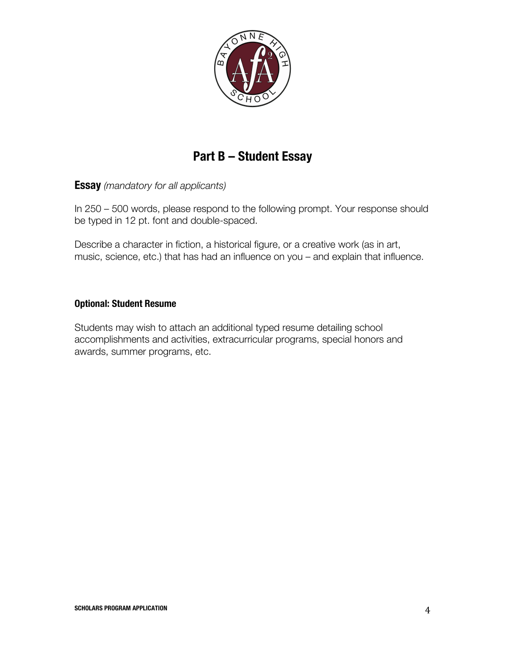

### **Part B – Student Essay**

**Essay** *(mandatory for all applicants)*

In 250 – 500 words, please respond to the following prompt. Your response should be typed in 12 pt. font and double-spaced.

Describe a character in fiction, a historical figure, or a creative work (as in art, music, science, etc.) that has had an influence on you – and explain that influence.

#### **Optional: Student Resume**

Students may wish to attach an additional typed resume detailing school accomplishments and activities, extracurricular programs, special honors and awards, summer programs, etc.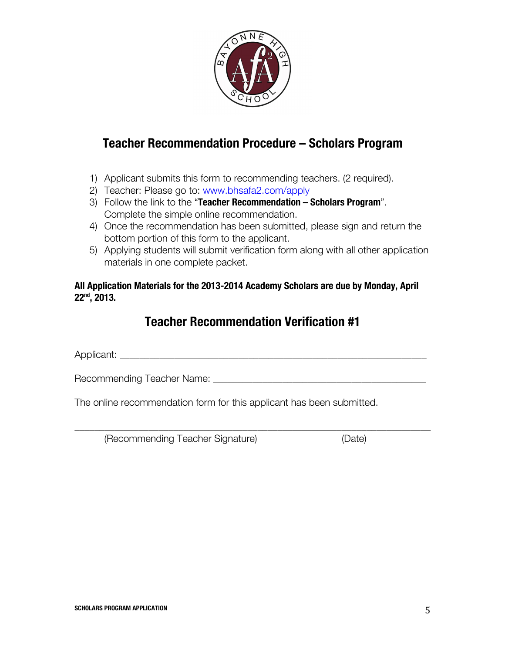

### **Teacher Recommendation Procedure – Scholars Program**

- 1) Applicant submits this form to recommending teachers. (2 required).
- 2) Teacher: Please go to: www.bhsafa2.com/apply
- 3) Follow the link to the "**Teacher Recommendation – Scholars Program**". Complete the simple online recommendation.
- 4) Once the recommendation has been submitted, please sign and return the bottom portion of this form to the applicant.
- 5) Applying students will submit verification form along with all other application materials in one complete packet.

#### **All Application Materials for the 2013-2014 Academy Scholars are due by Monday, April 22nd, 2013.**

### **Teacher Recommendation Verification #1**

\_\_\_\_\_\_\_\_\_\_\_\_\_\_\_\_\_\_\_\_\_\_\_\_\_\_\_\_\_\_\_\_\_\_\_\_\_\_\_\_\_\_\_\_\_\_\_\_\_\_\_\_\_\_\_\_\_\_\_\_\_\_\_\_\_\_\_\_\_\_\_\_

Applicant:

Recommending Teacher Name: \_\_\_\_\_\_\_\_\_\_\_\_\_\_\_\_\_\_\_\_\_\_\_\_\_\_\_\_\_\_\_\_\_\_\_\_\_\_\_\_\_\_\_

The online recommendation form for this applicant has been submitted.

(Recommending Teacher Signature) (Date)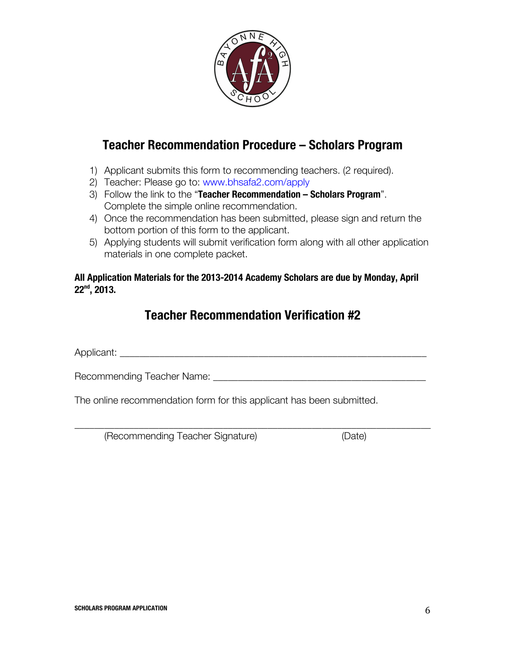

### **Teacher Recommendation Procedure – Scholars Program**

- 1) Applicant submits this form to recommending teachers. (2 required).
- 2) Teacher: Please go to: www.bhsafa2.com/apply
- 3) Follow the link to the "**Teacher Recommendation – Scholars Program**". Complete the simple online recommendation.
- 4) Once the recommendation has been submitted, please sign and return the bottom portion of this form to the applicant.
- 5) Applying students will submit verification form along with all other application materials in one complete packet.

### **All Application Materials for the 2013-2014 Academy Scholars are due by Monday, April 22nd, 2013.**

### **Teacher Recommendation Verification #2**

\_\_\_\_\_\_\_\_\_\_\_\_\_\_\_\_\_\_\_\_\_\_\_\_\_\_\_\_\_\_\_\_\_\_\_\_\_\_\_\_\_\_\_\_\_\_\_\_\_\_\_\_\_\_\_\_\_\_\_\_\_\_\_\_\_\_\_\_\_\_\_\_

Applicant: \_\_\_\_\_\_\_\_\_\_\_\_\_\_\_\_\_\_\_\_\_\_\_\_\_\_\_\_\_\_\_\_\_\_\_\_\_\_\_\_\_\_\_\_\_\_\_\_\_\_\_\_\_\_\_\_\_\_\_\_\_\_

Recommending Teacher Name: \_\_\_\_\_\_\_\_\_\_\_\_\_\_\_\_\_\_\_\_\_\_\_\_\_\_\_\_\_\_\_\_\_\_\_\_\_\_\_\_\_\_\_

The online recommendation form for this applicant has been submitted.

(Recommending Teacher Signature) (Date)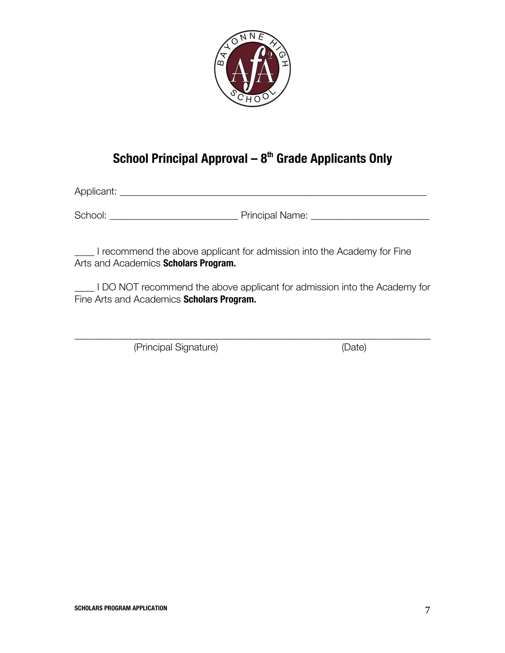

### **School Principal Approval – 8th Grade Applicants Only**

Applicant: \_\_\_\_\_\_\_\_\_\_\_\_\_\_\_\_\_\_\_\_\_\_\_\_\_\_\_\_\_\_\_\_\_\_\_\_\_\_\_\_\_\_\_\_\_\_\_\_\_\_\_\_\_\_\_\_\_\_\_\_\_\_

School: \_\_\_\_\_\_\_\_\_\_\_\_\_\_\_\_\_\_\_\_\_\_\_\_\_\_ Principal Name: \_\_\_\_\_\_\_\_\_\_\_\_\_\_\_\_\_\_\_\_\_\_\_\_

\_\_\_\_ I recommend the above applicant for admission into the Academy for Fine Arts and Academics **Scholars Program.**

\_\_\_\_ I DO NOT recommend the above applicant for admission into the Academy for Fine Arts and Academics **Scholars Program.**

\_\_\_\_\_\_\_\_\_\_\_\_\_\_\_\_\_\_\_\_\_\_\_\_\_\_\_\_\_\_\_\_\_\_\_\_\_\_\_\_\_\_\_\_\_\_\_\_\_\_\_\_\_\_\_\_\_\_\_\_\_\_\_\_\_\_\_\_\_\_\_\_

(Principal Signature) (Date)